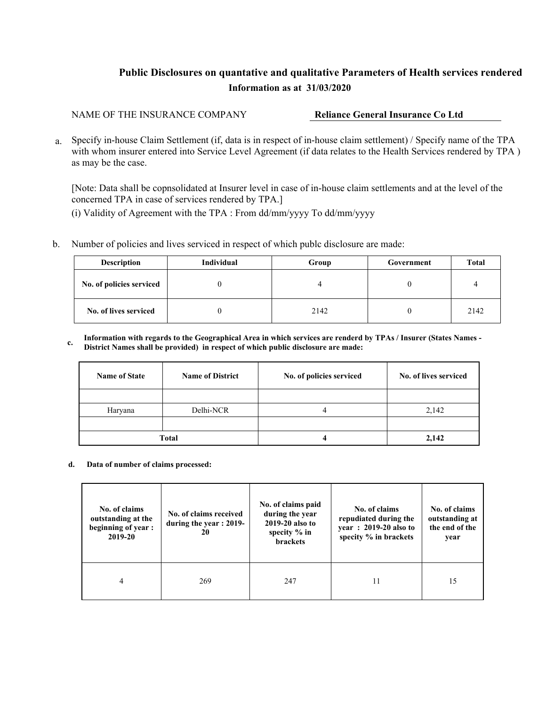## **Public Disclosures on quantative and qualitative Parameters of Health services rendered Information as at 31/03/2020**

NAME OF THE INSURANCE COMPANY **Reliance General Insurance Co Ltd** 

 a. Specify in-house Claim Settlement (if, data is in respect of in-house claim settlement) / Specify name of the TPA with whom insurer entered into Service Level Agreement (if data relates to the Health Services rendered by TPA) as may be the case.

[Note: Data shall be copnsolidated at Insurer level in case of in-house claim settlements and at the level of the concerned TPA in case of services rendered by TPA.]

(i) Validity of Agreement with the TPA : From dd/mm/yyyy To dd/mm/yyyy

b. Number of policies and lives serviced in respect of which publc disclosure are made:

| <b>Description</b>       | Individual | Group | Government | <b>Total</b> |
|--------------------------|------------|-------|------------|--------------|
| No. of policies serviced |            |       |            |              |
| No. of lives serviced    |            | 2142  |            | 2142         |

**c. Information with regards to the Geographical Area in which services are renderd by TPAs / Insurer (States Names - District Names shall be provided) in respect of which public disclosure are made:** 

| <b>Name of State</b> | <b>Name of District</b> | No. of policies serviced | No. of lives serviced |  |
|----------------------|-------------------------|--------------------------|-----------------------|--|
|                      |                         |                          |                       |  |
| Haryana              | Delhi-NCR               |                          | 2,142                 |  |
|                      |                         |                          |                       |  |
| Total                |                         |                          | 2.142                 |  |

**d. Data of number of claims processed:** 

| No. of claims<br>outstanding at the<br>beginning of year:<br>2019-20 | No. of claims received<br>during the year : 2019-<br>20 | No. of claims paid<br>during the year<br>2019-20 also to<br>specity $%$ in<br><b>brackets</b> | No. of claims<br>repudiated during the<br>year: 2019-20 also to<br>specity % in brackets | No. of claims<br>outstanding at<br>the end of the<br>year |
|----------------------------------------------------------------------|---------------------------------------------------------|-----------------------------------------------------------------------------------------------|------------------------------------------------------------------------------------------|-----------------------------------------------------------|
| 4                                                                    | 269                                                     | 247                                                                                           |                                                                                          | 15                                                        |